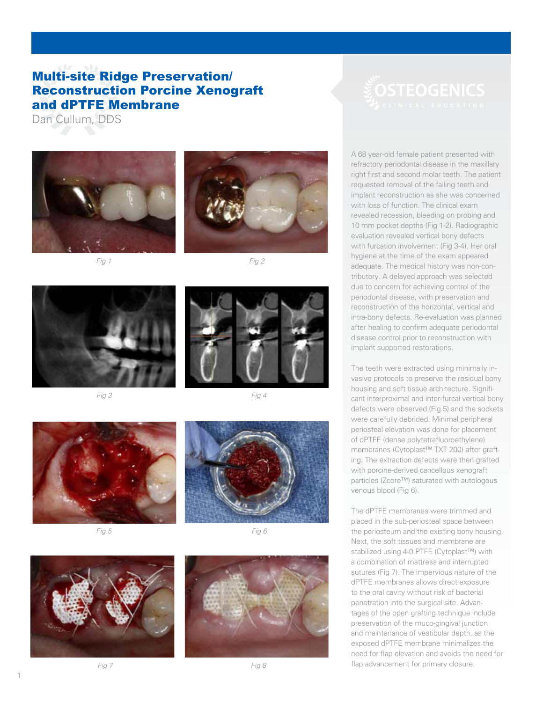## Multi-site Ridge Preservation/ Reconstruction Porcine Xenograft and dPTFE Membrane

Dan Cullum, DDS











*Fig 3 Fig 4*







1



A 68 year-old female patient presented with refractory periodontal disease in the maxillary right first and second molar teeth. The patient requested removal of the failing teeth and implant reconstruction as she was concerned with loss of function. The clinical exam revealed recession, bleeding on probing and 10 mm pocket depths (Fig 1-2). Radiographic evaluation revealed vertical bony defects with furcation involvement (Fig 3-4). Her oral hygiene at the time of the exam appeared adequate. The medical history was non-contributory. A delayed approach was selected due to concern for achieving control of the periodontal disease, with preservation and reconstruction of the horizontal, vertical and intra-bony defects. Re-evaluation was planned after healing to confirm adequate periodontal disease control prior to reconstruction with implant supported restorations.

The teeth were extracted using minimally invasive protocols to preserve the residual bony housing and soft tissue architecture. Significant interproximal and inter-furcal vertical bony defects were observed (Fig 5) and the sockets were carefully debrided. Minimal peripheral periosteal elevation was done for placement of dPTFE (dense polytetrafluoroethylene) membranes (Cytoplast™ TXT 200) after grafting. The extraction defects were then grafted with porcine-derived cancellous xenograft particles (Zcore™) saturated with autologous venous blood (Fig 6).

The dPTFE membranes were trimmed and placed in the sub-periosteal space between the periosteum and the existing bony housing. Next, the soft tissues and membrane are stabilized using 4-0 PTFE (Cytoplast™) with a combination of mattress and interrupted sutures (Fig 7). The impervious nature of the dPTFE membranes allows direct exposure to the oral cavity without risk of bacterial penetration into the surgical site. Advantages of the open grafting technique include preservation of the muco-gingival junction and maintenance of vestibular depth, as the exposed dPTFE membrane minimalizes the need for flap elevation and avoids the need for flap advancement for primary closure.